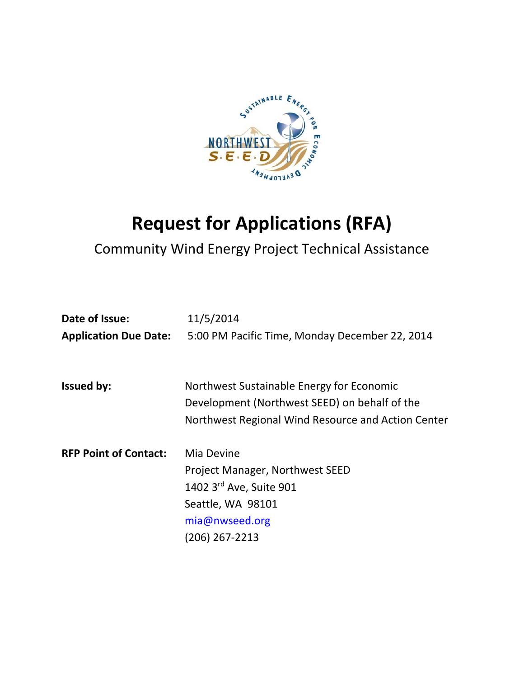

# **Request for Applications (RFA)**

# Community Wind Energy Project Technical Assistance

| Date of Issue:               | 11/5/2014                                                                                                                                        |
|------------------------------|--------------------------------------------------------------------------------------------------------------------------------------------------|
| <b>Application Due Date:</b> | 5:00 PM Pacific Time, Monday December 22, 2014                                                                                                   |
| <b>Issued by:</b>            | Northwest Sustainable Energy for Economic<br>Development (Northwest SEED) on behalf of the<br>Northwest Regional Wind Resource and Action Center |
| <b>RFP Point of Contact:</b> | Mia Devine<br>Project Manager, Northwest SEED<br>1402 3rd Ave, Suite 901<br>Seattle, WA 98101<br>mia@nwseed.org<br>(206) 267-2213                |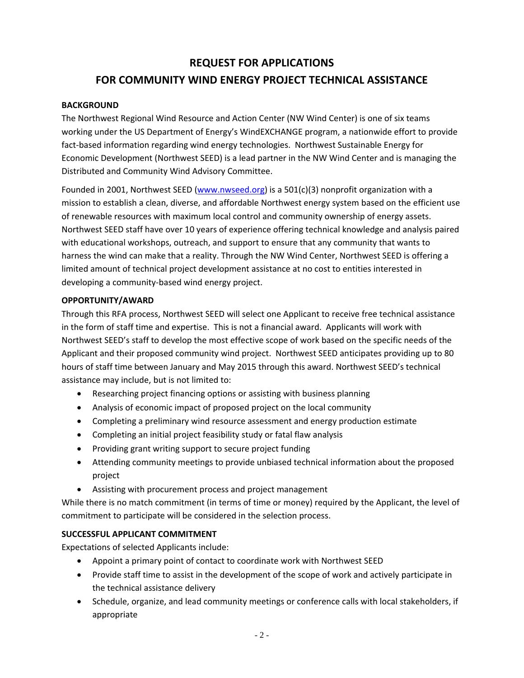# **REQUEST FOR APPLICATIONS FOR COMMUNITY WIND ENERGY PROJECT TECHNICAL ASSISTANCE**

### **BACKGROUND**

The Northwest Regional Wind Resource and Action Center (NW Wind Center) is one of six teams working under the US Department of Energy's WindEXCHANGE program, a nationwide effort to provide fact-based information regarding wind energy technologies. Northwest Sustainable Energy for Economic Development (Northwest SEED) is a lead partner in the NW Wind Center and is managing the Distributed and Community Wind Advisory Committee.

Founded in 2001, Northwest SEED (www.nwseed.org) is a 501(c)(3) nonprofit organization with a mission to establish a clean, diverse, and affordable Northwest energy system based on the efficient use of renewable resources with maximum local control and community ownership of energy assets. Northwest SEED staff have over 10 years of experience offering technical knowledge and analysis paired with educational workshops, outreach, and support to ensure that any community that wants to harness the wind can make that a reality. Through the NW Wind Center, Northwest SEED is offering a limited amount of technical project development assistance at no cost to entities interested in developing a community‐based wind energy project.

#### **OPPORTUNITY/AWARD**

Through this RFA process, Northwest SEED will select one Applicant to receive free technical assistance in the form of staff time and expertise. This is not a financial award. Applicants will work with Northwest SEED's staff to develop the most effective scope of work based on the specific needs of the Applicant and their proposed community wind project. Northwest SEED anticipates providing up to 80 hours of staff time between January and May 2015 through this award. Northwest SEED's technical assistance may include, but is not limited to:

- Researching project financing options or assisting with business planning
- Analysis of economic impact of proposed project on the local community
- Completing a preliminary wind resource assessment and energy production estimate
- Completing an initial project feasibility study or fatal flaw analysis
- Providing grant writing support to secure project funding
- Attending community meetings to provide unbiased technical information about the proposed project
- Assisting with procurement process and project management

While there is no match commitment (in terms of time or money) required by the Applicant, the level of commitment to participate will be considered in the selection process.

# **SUCCESSFUL APPLICANT COMMITMENT**

Expectations of selected Applicants include:

- Appoint a primary point of contact to coordinate work with Northwest SEED
- Provide staff time to assist in the development of the scope of work and actively participate in the technical assistance delivery
- Schedule, organize, and lead community meetings or conference calls with local stakeholders, if appropriate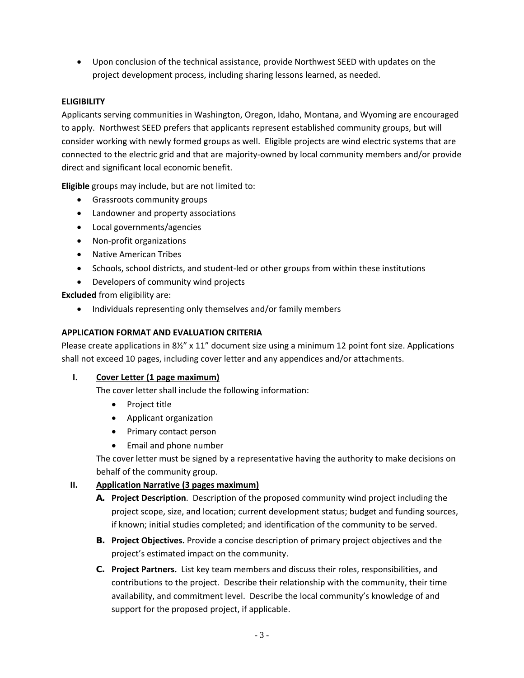Upon conclusion of the technical assistance, provide Northwest SEED with updates on the project development process, including sharing lessons learned, as needed.

# **ELIGIBILITY**

Applicants serving communities in Washington, Oregon, Idaho, Montana, and Wyoming are encouraged to apply. Northwest SEED prefers that applicants represent established community groups, but will consider working with newly formed groups as well. Eligible projects are wind electric systems that are connected to the electric grid and that are majority-owned by local community members and/or provide direct and significant local economic benefit.

**Eligible** groups may include, but are not limited to:

- Grassroots community groups
- Landowner and property associations
- Local governments/agencies
- Non-profit organizations
- Native American Tribes
- Schools, school districts, and student-led or other groups from within these institutions
- Developers of community wind projects

**Excluded** from eligibility are:

• Individuals representing only themselves and/or family members

#### **APPLICATION FORMAT AND EVALUATION CRITERIA**

Please create applications in 8½" x 11" document size using a minimum 12 point font size. Applications shall not exceed 10 pages, including cover letter and any appendices and/or attachments.

#### **I. Cover Letter (1 page maximum)**

The cover letter shall include the following information:

- Project title
- Applicant organization
- Primary contact person
- Email and phone number

The cover letter must be signed by a representative having the authority to make decisions on behalf of the community group.

#### **II. Application Narrative (3 pages maximum)**

- **A. Project Description**. Description of the proposed community wind project including the project scope, size, and location; current development status; budget and funding sources, if known; initial studies completed; and identification of the community to be served.
- **B. Project Objectives.** Provide a concise description of primary project objectives and the project's estimated impact on the community.
- **C. Project Partners.** List key team members and discuss their roles, responsibilities, and contributions to the project. Describe their relationship with the community, their time availability, and commitment level. Describe the local community's knowledge of and support for the proposed project, if applicable.